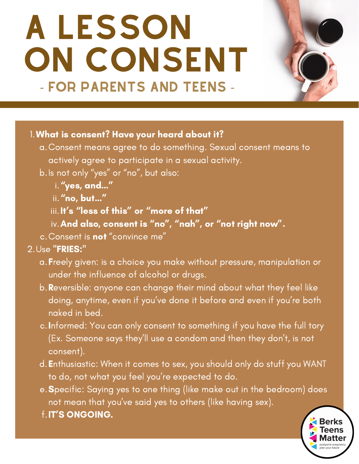# A LESSON ON CONSENT - FOR PARENTS AND TEENS -



#### What is consent? Have your heard about it? 1.

- Consent means agree to do something. Sexual consent means to a. actively agree to participate in a sexual activity.
- b.Is not only "yes" or "no", but also:
	- i. <mark>"yes, and…"</mark>
	- ii. **"no, but…"**
	- iii. It's "less of this" or "more of that"
	- iv. And also, consent is "no", "nah", or "not right now".
- c.Consent is **not** "convince me"
- 2.Use "FRIES:"
	- a. Freely given: is a choice you make without pressure, manipulation or under the influence of alcohol or drugs.
	- b. Reversible: anyone can change their mind about what they feel like doing, anytime, even if you've done it before and even if you're both naked in bed.
	- c.Informed: You can only consent to something if you have the full tory (Ex. Someone says they'll use a condom and then they don't, is not consent).
	- d. Enthusiastic: When it comes to sex, you should only do stuff you WANT to do, not what you feel you're expected to do.
	- e. Specific: Saying yes to one thing (like make out in the bedroom) does not mean that you've said yes to others (like having sex).
	- f. IT'S ONGOING.

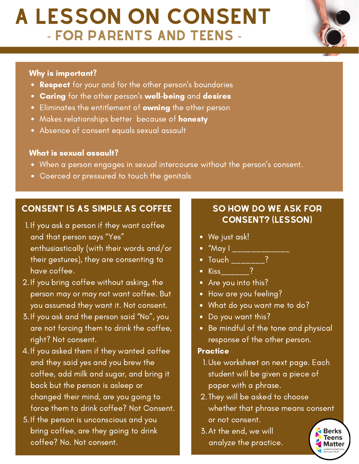# A LESSON ON CONSENT - FOR PARENTS AND TEENS -

#### Why is important?

- Respect for your and for the other person's boundaries
- Caring for the other person's well-being and desires
- Eliminates the entitlement of **owning** the other person
- Makes relationships better because of honesty
- Absence of consent equals sexual assault

#### What is sexual assault?

- When a person engages in sexual intercourse without the person's consent.
- Coerced or pressured to touch the genitals

#### consent is as simple as coffee

- 1. If you ask a person if they want coffee and that person says "Yes" enthusiastically (with their words and/or their gestures), they are consenting to have coffee.
- 2. If you bring coffee without asking, the person may or may not want coffee. But you assumed they want it. Not consent.
- 3. If you ask and the person said "No", you are not forcing them to drink the coffee, right? Not consent.
- 4.If you asked them if they wanted coffee and they said yes and you brew the coffee, add milk and sugar, and bring it back but the person is asleep or changed their mind, are you going to force them to drink coffee? Not Consent.
- 5. If the person is unconscious and you bring coffee, are they going to drink coffee? No. Not consent.

#### SO HOW DO WE ASK FOR consent? (Lesson)

- We just ask!
- "May I \_\_\_\_\_\_\_\_\_\_\_\_
- Touch ?
- Kiss<sup>?</sup>
- Are you into this?
- How are you feeling?
- What do you want me to do?
- Do you want this?
- Be mindful of the tone and physical response of the other person.

#### **Practice**

- 1.Use worksheet on next page. Each student will be given a piece of paper with a phrase.
- 2. They will be asked to choose whether that phrase means consent or not consent.
- At the end, we will 3. analyze the practice.

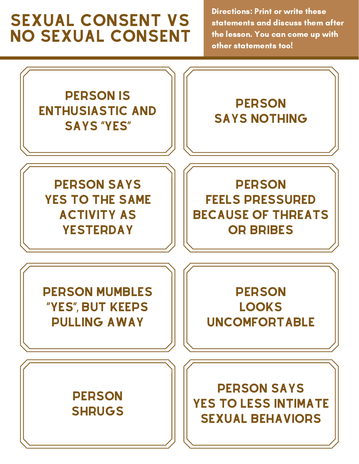## SEXUAL CONSENT VS NO SEXUAL CONSENT

Directions: Print or write these statements and discuss them after the lesson. You can come up with other statements too!